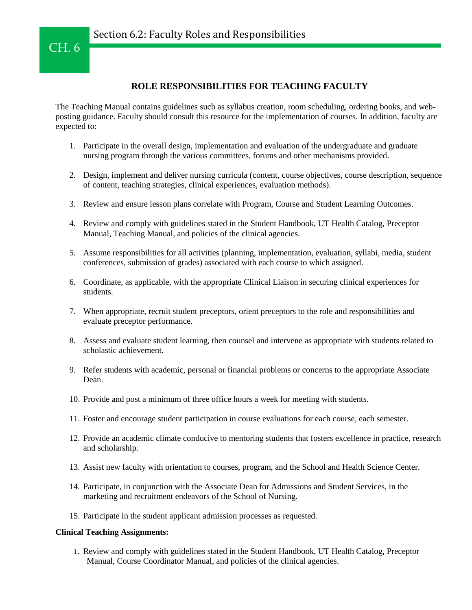## **ROLE RESPONSIBILITIES FOR TEACHING FACULTY**

The Teaching Manual contains guidelines such as syllabus creation, room scheduling, ordering books, and webposting guidance. Faculty should consult this resource for the implementation of courses. In addition, faculty are expected to:

- 1. Participate in the overall design, implementation and evaluation of the undergraduate and graduate nursing program through the various committees, forums and other mechanisms provided.
- 2. Design, implement and deliver nursing curricula (content, course objectives, course description, sequence of content, teaching strategies, clinical experiences, evaluation methods).
- 3. Review and ensure lesson plans correlate with Program, Course and Student Learning Outcomes.
- 4. Review and comply with guidelines stated in the Student Handbook, UT Health Catalog, Preceptor Manual, Teaching Manual, and policies of the clinical agencies.
- 5. Assume responsibilities for all activities (planning, implementation, evaluation, syllabi, media, student conferences, submission of grades) associated with each course to which assigned.
- 6. Coordinate, as applicable, with the appropriate Clinical Liaison in securing clinical experiences for students.
- 7. When appropriate, recruit student preceptors, orient preceptors to the role and responsibilities and evaluate preceptor performance.
- 8. Assess and evaluate student learning, then counsel and intervene as appropriate with students related to scholastic achievement.
- 9. Refer students with academic, personal or financial problems or concerns to the appropriate Associate Dean.
- 10. Provide and post a minimum of three office hours a week for meeting with students.
- 11. Foster and encourage student participation in course evaluations for each course, each semester.
- 12. Provide an academic climate conducive to mentoring students that fosters excellence in practice, research and scholarship.
- 13. Assist new faculty with orientation to courses, program, and the School and Health Science Center.
- 14. Participate, in conjunction with the Associate Dean for Admissions and Student Services, in the marketing and recruitment endeavors of the School of Nursing.
- 15. Participate in the student applicant admission processes as requested.

## **Clinical Teaching Assignments:**

1. Review and comply with guidelines stated in the Student Handbook, UT Health Catalog, Preceptor Manual, Course Coordinator Manual, and policies of the clinical agencies.

CH. 6